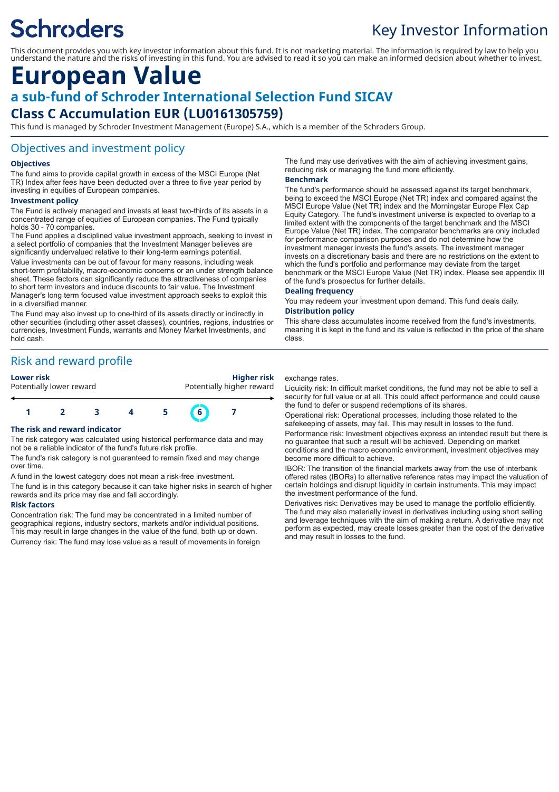# **Schroders**

# Key Investor Information

This document provides you with key investor information about this fund. It is not marketing material. The information is required by law to help you understand the nature and the risks of investing in this fund. You are advised to read it so you can make an informed decision about whether to invest.

# **European Value**

# **a sub-fund of Schroder International Selection Fund SICAV**

# **Class C Accumulation EUR (LU0161305759)**

This fund is managed by Schroder Investment Management (Europe) S.A., which is a member of the Schroders Group.

### Objectives and investment policy

#### **Objectives**

The fund aims to provide capital growth in excess of the MSCI Europe (Net TR) Index after fees have been deducted over a three to five year period by investing in equities of European companies.

#### **Investment policy**

The Fund is actively managed and invests at least two-thirds of its assets in a concentrated range of equities of European companies. The Fund typically holds 30 - 70 companies.

The Fund applies a disciplined value investment approach, seeking to invest in a select portfolio of companies that the Investment Manager believes are significantly undervalued relative to their long-term earnings potential.

Value investments can be out of favour for many reasons, including weak short-term profitability, macro-economic concerns or an under strength balance sheet. These factors can significantly reduce the attractiveness of companies to short term investors and induce discounts to fair value. The Investment Manager's long term focused value investment approach seeks to exploit this in a diversified manner.

The Fund may also invest up to one-third of its assets directly or indirectly in other securities (including other asset classes), countries, regions, industries or currencies, Investment Funds, warrants and Money Market Investments, and hold cash.

## Risk and reward profile

**Lower risk Higher risk** Potentially lower reward **Potentially higher reward** 



#### **The risk and reward indicator**

The risk category was calculated using historical performance data and may not be a reliable indicator of the fund's future risk profile.

The fund's risk category is not guaranteed to remain fixed and may change over time.

A fund in the lowest category does not mean a risk-free investment.

The fund is in this category because it can take higher risks in search of higher rewards and its price may rise and fall accordingly.

#### **Risk factors**

Concentration risk: The fund may be concentrated in a limited number of geographical regions, industry sectors, markets and/or individual positions. This may result in large changes in the value of the fund, both up or down. Currency risk: The fund may lose value as a result of movements in foreign The fund may use derivatives with the aim of achieving investment gains, reducing risk or managing the fund more efficiently.

#### **Benchmark**

The fund's performance should be assessed against its target benchmark, being to exceed the MSCI Europe (Net TR) index and compared against the MSCI Europe Value (Net TR) index and the Morningstar Europe Flex Cap Equity Category. The fund's investment universe is expected to overlap to a limited extent with the components of the target benchmark and the MSCI Europe Value (Net TR) index. The comparator benchmarks are only included for performance comparison purposes and do not determine how the investment manager invests the fund's assets. The investment manager invests on a discretionary basis and there are no restrictions on the extent to which the fund's portfolio and performance may deviate from the target benchmark or the MSCI Europe Value (Net TR) index. Please see appendix III of the fund's prospectus for further details.

#### **Dealing frequency**

You may redeem your investment upon demand. This fund deals daily.

#### **Distribution policy**

This share class accumulates income received from the fund's investments, meaning it is kept in the fund and its value is reflected in the price of the share class.

#### exchange rates.

Liquidity risk: In difficult market conditions, the fund may not be able to sell a security for full value or at all. This could affect performance and could cause the fund to defer or suspend redemptions of its shares.

Operational risk: Operational processes, including those related to the safekeeping of assets, may fail. This may result in losses to the fund.

Performance risk: Investment objectives express an intended result but there is no guarantee that such a result will be achieved. Depending on market conditions and the macro economic environment, investment objectives may become more difficult to achieve.

IBOR: The transition of the financial markets away from the use of interbank offered rates (IBORs) to alternative reference rates may impact the valuation of certain holdings and disrupt liquidity in certain instruments. This may impact the investment performance of the fund.

Derivatives risk: Derivatives may be used to manage the portfolio efficiently. The fund may also materially invest in derivatives including using short selling and leverage techniques with the aim of making a return. A derivative may not perform as expected, may create losses greater than the cost of the derivative and may result in losses to the fund.